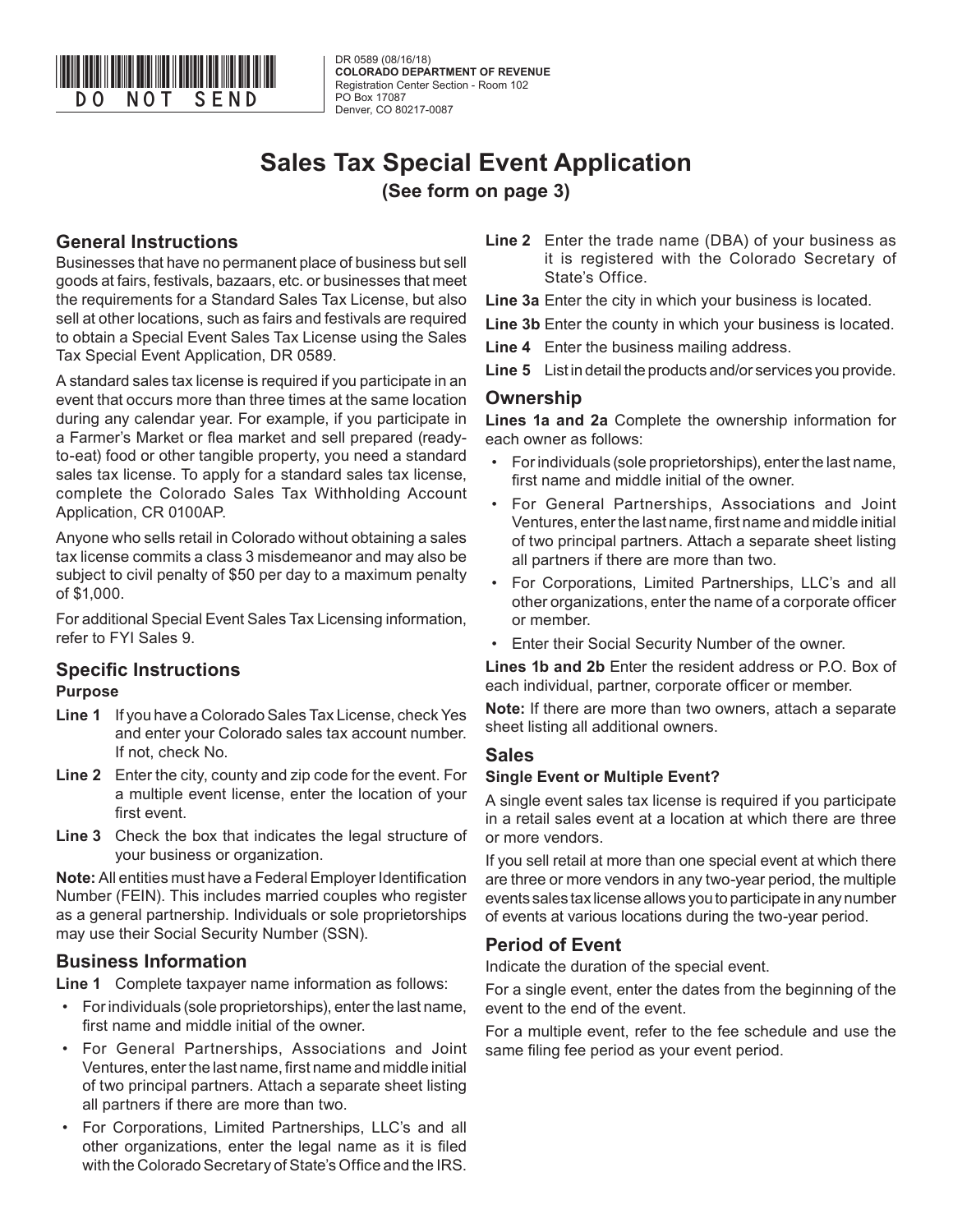

DR 0589 (08/16/18) **COLORADO DEPARTMENT OF REVENUE** Registration Center Section - Room 102 PO Box 17087 Denver, CO 80217-0087

# **Sales Tax Special Event Application (See form on page 3)**

## **General Instructions**

Businesses that have no permanent place of business but sell goods at fairs, festivals, bazaars, etc. or businesses that meet the requirements for a Standard Sales Tax License, but also sell at other locations, such as fairs and festivals are required to obtain a Special Event Sales Tax License using the Sales Tax Special Event Application, DR 0589.

A standard sales tax license is required if you participate in an event that occurs more than three times at the same location during any calendar year. For example, if you participate in a Farmer's Market or flea market and sell prepared (readyto-eat) food or other tangible property, you need a standard sales tax license. To apply for a standard sales tax license, complete the Colorado Sales Tax Withholding Account Application, CR 0100AP.

Anyone who sells retail in Colorado without obtaining a sales tax license commits a class 3 misdemeanor and may also be subject to civil penalty of \$50 per day to a maximum penalty of \$1,000.

For additional Special Event Sales Tax Licensing information, refer to FYI Sales 9.

# **Specific Instructions**

## **Purpose**

- **Line 1** If you have a Colorado Sales Tax License, check Yes and enter your Colorado sales tax account number. If not, check No.
- **Line 2** Enter the city, county and zip code for the event. For a multiple event license, enter the location of your first event.
- **Line 3** Check the box that indicates the legal structure of your business or organization.

**Note:** All entities must have a Federal Employer Identification Number (FEIN). This includes married couples who register as a general partnership. Individuals or sole proprietorships may use their Social Security Number (SSN).

## **Business Information**

**Line 1** Complete taxpayer name information as follows:

- For individuals (sole proprietorships), enter the last name, first name and middle initial of the owner.
- For General Partnerships, Associations and Joint Ventures, enter the last name, first name and middle initial of two principal partners. Attach a separate sheet listing all partners if there are more than two.
- For Corporations, Limited Partnerships, LLC's and all other organizations, enter the legal name as it is filed with the Colorado Secretary of State's Office and the IRS.

**Line 2** Enter the trade name (DBA) of your business as it is registered with the Colorado Secretary of State's Office.

**Line 3a** Enter the city in which your business is located.

- **Line 3b** Enter the county in which your business is located.
- **Line 4** Enter the business mailing address.
- **Line 5** List in detail the products and/or services you provide.

## **Ownership**

**Lines 1a and 2a** Complete the ownership information for each owner as follows:

- For individuals (sole proprietorships), enter the last name, first name and middle initial of the owner.
- For General Partnerships, Associations and Joint Ventures, enter the last name, first name and middle initial of two principal partners. Attach a separate sheet listing all partners if there are more than two.
- For Corporations, Limited Partnerships, LLC's and all other organizations, enter the name of a corporate officer or member.
- Enter their Social Security Number of the owner.

**Lines 1b and 2b** Enter the resident address or P.O. Box of each individual, partner, corporate officer or member.

**Note:** If there are more than two owners, attach a separate sheet listing all additional owners.

#### **Sales**

#### **Single Event or Multiple Event?**

A single event sales tax license is required if you participate in a retail sales event at a location at which there are three or more vendors.

If you sell retail at more than one special event at which there are three or more vendors in any two-year period, the multiple events sales tax license allows you to participate in any number of events at various locations during the two-year period.

## **Period of Event**

Indicate the duration of the special event.

For a single event, enter the dates from the beginning of the event to the end of the event.

For a multiple event, refer to the fee schedule and use the same filing fee period as your event period.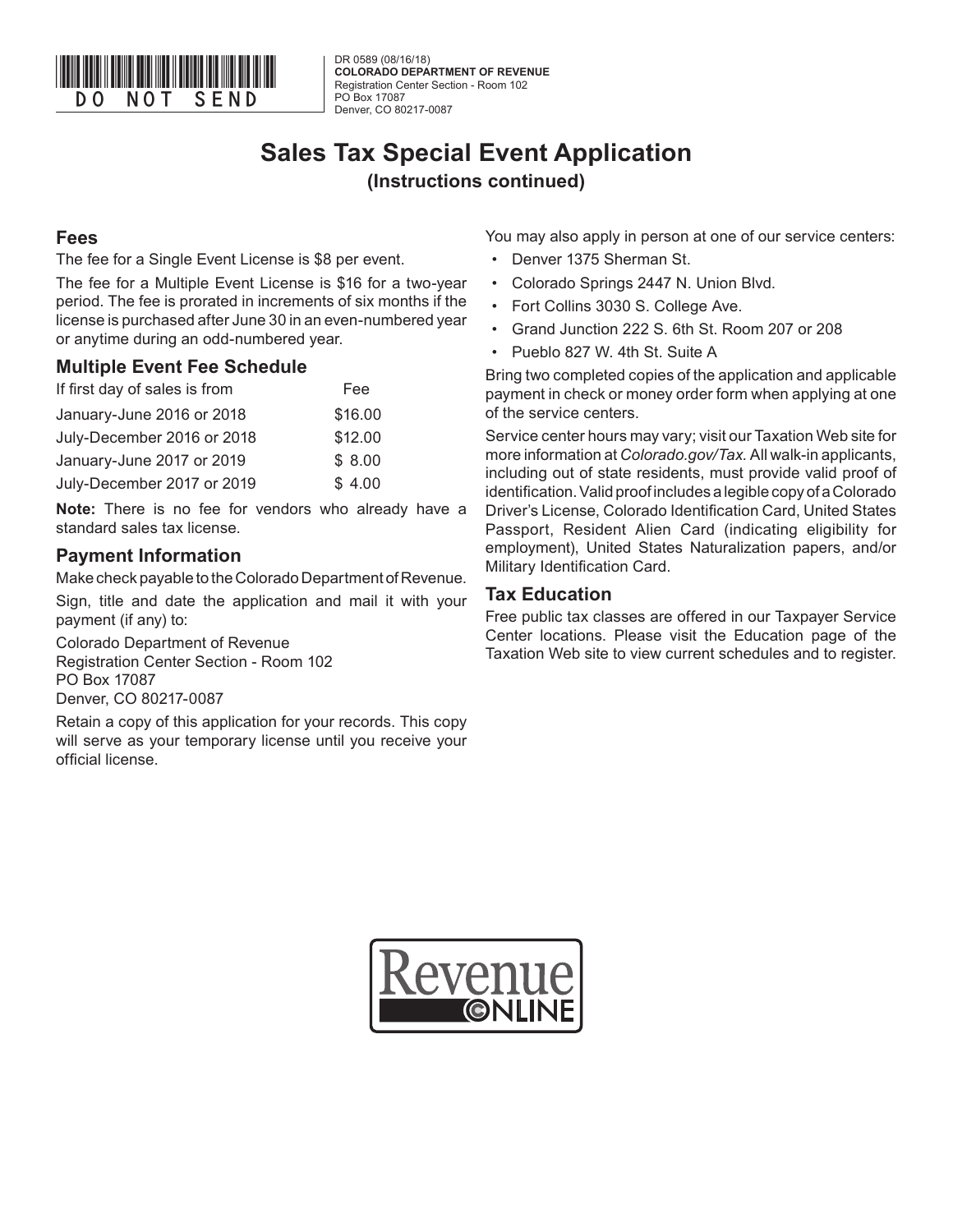

DR 0589 (08/16/18) **COLORADO DEPARTMENT OF REVENUE** Registration Center Section - Room 102 PO Box 17087 Denver, CO 80217-0087

# **Sales Tax Special Event Application (Instructions continued)**

### **Fees**

The fee for a Single Event License is \$8 per event.

The fee for a Multiple Event License is \$16 for a two-year period. The fee is prorated in increments of six months if the license is purchased after June 30 in an even-numbered year or anytime during an odd-numbered year.

#### **Multiple Event Fee Schedule**

| Fee     |
|---------|
| \$16.00 |
| \$12.00 |
| \$8.00  |
| \$4.00  |
|         |

**Note:** There is no fee for vendors who already have a standard sales tax license.

## **Payment Information**

Make check payable to the Colorado Department of Revenue.

Sign, title and date the application and mail it with your payment (if any) to:

Colorado Department of Revenue Registration Center Section - Room 102 PO Box 17087 Denver, CO 80217-0087

Retain a copy of this application for your records. This copy will serve as your temporary license until you receive your official license.

You may also apply in person at one of our service centers:

- Denver 1375 Sherman St.
- Colorado Springs 2447 N. Union Blvd.
- Fort Collins 3030 S. College Ave.
- Grand Junction 222 S. 6th St. Room 207 or 208
- Pueblo 827 W. 4th St. Suite A

Bring two completed copies of the application and applicable payment in check or money order form when applying at one of the service centers.

Service center hours may vary; visit our Taxation Web site for more information at *Colorado.gov/Tax.* All walk-in applicants, including out of state residents, must provide valid proof of identification. Valid proof includes a legible copy of a Colorado Driver's License, Colorado Identification Card, United States Passport, Resident Alien Card (indicating eligibility for employment), United States Naturalization papers, and/or Military Identification Card.

#### **Tax Education**

Free public tax classes are offered in our Taxpayer Service Center locations. Please visit the Education page of the Taxation Web site to view current schedules and to register.